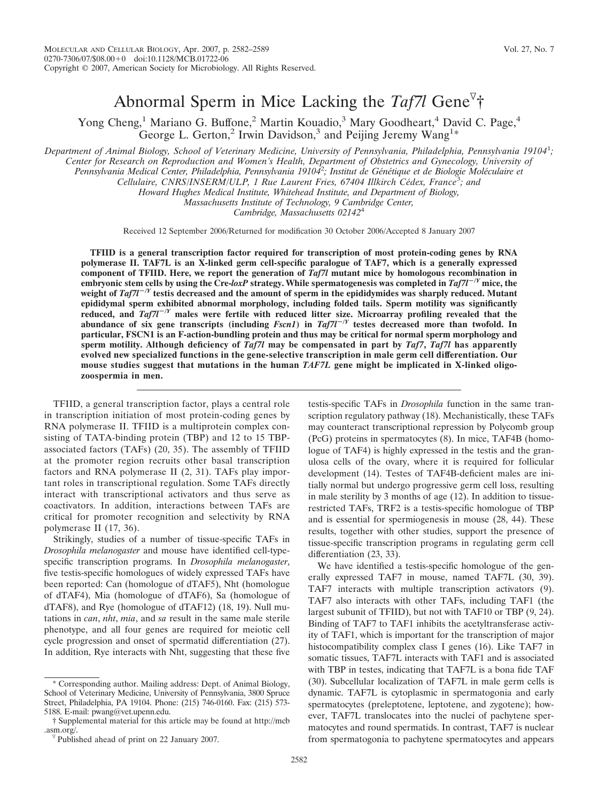# Abnormal Sperm in Mice Lacking the *Taf7l* Gene †

Yong Cheng,<sup>1</sup> Mariano G. Buffone,<sup>2</sup> Martin Kouadio,<sup>3</sup> Mary Goodheart,<sup>4</sup> David C. Page,<sup>4</sup> George L. Gerton,<sup>2</sup> Irwin Davidson,<sup>3</sup> and Peijing Jeremy Wang<sup>1\*</sup>

*Department of Animal Biology, School of Veterinary Medicine, University of Pennsylvania, Philadelphia, Pennsylvania 19104*<sup>1</sup> *; Center for Research on Reproduction and Women's Health, Department of Obstetrics and Gynecology, University of* Pennsylvania Medical Center, Philadelphia, Pennsylvania 1910<sup>42</sup>; Institut de Génétique et de Biologie Moléculaire et Cellulaire, CNRS/INSERM/ULP, 1 Rue Laurent Fries, 67404 Illkirch Cédex, France<sup>3</sup>; and

*Howard Hughes Medical Institute, Whitehead Institute, and Department of Biology,*

*Massachusetts Institute of Technology, 9 Cambridge Center,*

*Cambridge, Massachusetts 02142*<sup>4</sup>

Received 12 September 2006/Returned for modification 30 October 2006/Accepted 8 January 2007

**TFIID is a general transcription factor required for transcription of most protein-coding genes by RNA polymerase II. TAF7L is an X-linked germ cell-specific paralogue of TAF7, which is a generally expressed component of TFIID. Here, we report the generation of** *Taf7l* **mutant mice by homologous recombination in embryonic stem cells by using the Cre-***loxP* **strategy. While spermatogenesis was completed in**  $Taf7l^{-\gamma}$  **mice, the** weight of *Taf7l<sup>-/Y</sup>* testis decreased and the amount of sperm in the epididymides was sharply reduced. Mutant **epididymal sperm exhibited abnormal morphology, including folded tails. Sperm motility was significantly reduced, and** *Taf7l***/***<sup>Y</sup>* **males were fertile with reduced litter size. Microarray profiling revealed that the** abundance of six gene transcripts (including  $Fscn1$ ) in  $Taf7l^{-\gamma}$  testes decreased more than twofold. In **particular, FSCN1 is an F-action-bundling protein and thus may be critical for normal sperm morphology and sperm motility. Although deficiency of** *Taf7l* **may be compensated in part by** *Taf7***,** *Taf7l* **has apparently evolved new specialized functions in the gene-selective transcription in male germ cell differentiation. Our mouse studies suggest that mutations in the human** *TAF7L* **gene might be implicated in X-linked oligozoospermia in men.**

TFIID, a general transcription factor, plays a central role in transcription initiation of most protein-coding genes by RNA polymerase II. TFIID is a multiprotein complex consisting of TATA-binding protein (TBP) and 12 to 15 TBPassociated factors (TAFs) (20, 35). The assembly of TFIID at the promoter region recruits other basal transcription factors and RNA polymerase II (2, 31). TAFs play important roles in transcriptional regulation. Some TAFs directly interact with transcriptional activators and thus serve as coactivators. In addition, interactions between TAFs are critical for promoter recognition and selectivity by RNA polymerase II (17, 36).

Strikingly, studies of a number of tissue-specific TAFs in *Drosophila melanogaster* and mouse have identified cell-typespecific transcription programs. In *Drosophila melanogaster*, five testis-specific homologues of widely expressed TAFs have been reported: Can (homologue of dTAF5), Nht (homologue of dTAF4), Mia (homologue of dTAF6), Sa (homologue of dTAF8), and Rye (homologue of dTAF12) (18, 19). Null mutations in *can*, *nht*, *mia*, and *sa* result in the same male sterile phenotype, and all four genes are required for meiotic cell cycle progression and onset of spermatid differentiation (27). In addition, Rye interacts with Nht, suggesting that these five

testis-specific TAFs in *Drosophila* function in the same transcription regulatory pathway (18). Mechanistically, these TAFs may counteract transcriptional repression by Polycomb group (PcG) proteins in spermatocytes (8). In mice, TAF4B (homologue of TAF4) is highly expressed in the testis and the granulosa cells of the ovary, where it is required for follicular development (14). Testes of TAF4B-deficient males are initially normal but undergo progressive germ cell loss, resulting in male sterility by 3 months of age (12). In addition to tissuerestricted TAFs, TRF2 is a testis-specific homologue of TBP and is essential for spermiogenesis in mouse (28, 44). These results, together with other studies, support the presence of tissue-specific transcription programs in regulating germ cell differentiation (23, 33).

We have identified a testis-specific homologue of the generally expressed TAF7 in mouse, named TAF7L (30, 39). TAF7 interacts with multiple transcription activators (9). TAF7 also interacts with other TAFs, including TAF1 (the largest subunit of TFIID), but not with TAF10 or TBP (9, 24). Binding of TAF7 to TAF1 inhibits the acetyltransferase activity of TAF1, which is important for the transcription of major histocompatibility complex class I genes (16). Like TAF7 in somatic tissues, TAF7L interacts with TAF1 and is associated with TBP in testes, indicating that TAF7L is a bona fide TAF (30). Subcellular localization of TAF7L in male germ cells is dynamic. TAF7L is cytoplasmic in spermatogonia and early spermatocytes (preleptotene, leptotene, and zygotene); however, TAF7L translocates into the nuclei of pachytene spermatocytes and round spermatids. In contrast, TAF7 is nuclear from spermatogonia to pachytene spermatocytes and appears

<sup>\*</sup> Corresponding author. Mailing address: Dept. of Animal Biology, School of Veterinary Medicine, University of Pennsylvania, 3800 Spruce Street, Philadelphia, PA 19104. Phone: (215) 746-0160. Fax: (215) 573- 5188. E-mail: pwang@vet.upenn.edu.

<sup>†</sup> Supplemental material for this article may be found at http://mcb .asm.org/.  $\nabla$  Published ahead of print on 22 January 2007.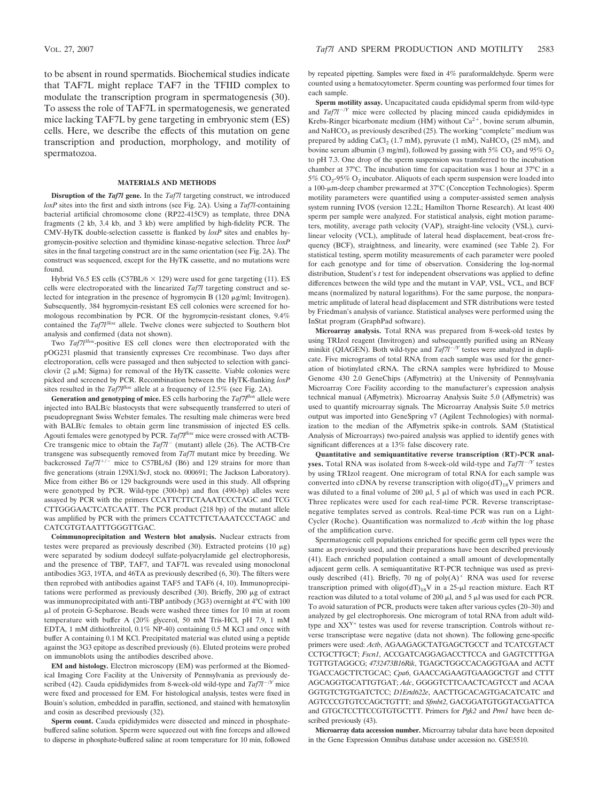to be absent in round spermatids. Biochemical studies indicate that TAF7L might replace TAF7 in the TFIID complex to modulate the transcription program in spermatogenesis (30). To assess the role of TAF7L in spermatogenesis, we generated mice lacking TAF7L by gene targeting in embryonic stem (ES) cells. Here, we describe the effects of this mutation on gene transcription and production, morphology, and motility of spermatozoa.

#### **MATERIALS AND METHODS**

**Disruption of the** *Taf7l* **gene.** In the *Taf7l* targeting construct, we introduced *loxP* sites into the first and sixth introns (see Fig. 2A). Using a *Taf7l*-containing bacterial artificial chromosome clone (RP22-415C9) as template, three DNA fragments (2 kb, 3.4 kb, and 3 kb) were amplified by high-fidelity PCR. The CMV-HyTK double-selection cassette is flanked by *loxP* sites and enables hygromycin-positive selection and thymidine kinase-negative selection. Three *loxP* sites in the final targeting construct are in the same orientation (see Fig. 2A). The construct was sequenced, except for the HyTK cassette, and no mutations were found.

Hybrid V6.5 ES cells (C57BL/6  $\times$  129) were used for gene targeting (11). ES cells were electroporated with the linearized *Taf7l* targeting construct and selected for integration in the presence of hygromycin B (120  $\mu$ g/ml; Invitrogen). Subsequently, 384 hygromycin-resistant ES cell colonies were screened for homologous recombination by PCR. Of the hygromycin-resistant clones, 9.4% contained the *Taf7l3lox* allele. Twelve clones were subjected to Southern blot analysis and confirmed (data not shown).

Two *Taf7l3lox*-positive ES cell clones were then electroporated with the pOG231 plasmid that transiently expresses Cre recombinase. Two days after electroporation, cells were passaged and then subjected to selection with ganciclovir (2  $\mu$ M; Sigma) for removal of the HyTK cassette. Viable colonies were picked and screened by PCR. Recombination between the HyTK-flanking *loxP* sites resulted in the  $Taf7l^{flox}$  allele at a frequency of 12.5% (see Fig. 2A).

**Generation and genotyping of mice.** ES cells harboring the *Taf7lflox* allele were injected into BALB/c blastocysts that were subsequently transferred to uteri of pseudopregnant Swiss Webster females. The resulting male chimeras were bred with BALB/c females to obtain germ line transmission of injected ES cells. Agouti females were genotyped by PCR. *Taf7lflox* mice were crossed with ACTB-Cre transgenic mice to obtain the *Taf7l* (mutant) allele (26). The ACTB-Cre transgene was subsequently removed from *Taf7l* mutant mice by breeding. We backcrossed  $Taf7l^{+/-}$  mice to C57BL/6J (B6) and 129 strains for more than five generations (strain 129X1/SvJ, stock no. 000691; The Jackson Laboratory). Mice from either B6 or 129 backgrounds were used in this study. All offspring were genotyped by PCR. Wild-type (300-bp) and flox (490-bp) alleles were assayed by PCR with the primers CCATTCTTCTAAATCCCTAGC and TCG CTTGGGAACTCATCAATT. The PCR product (218 bp) of the mutant allele was amplified by PCR with the primers CCATTCTTCTAAATCCCTAGC and CATCGTGTAATTTGGGTTGAC.

**Coimmunoprecipitation and Western blot analysis.** Nuclear extracts from testes were prepared as previously described (30). Extracted proteins (10  $\mu$ g) were separated by sodium dodecyl sulfate-polyacrylamide gel electrophoresis, and the presence of TBP, TAF7, and TAF7L was revealed using monoclonal antibodies 3G3, 19TA, and 46TA as previously described (6, 30). The filters were then reprobed with antibodies against TAF5 and TAF6 (4, 10). Immunoprecipitations were performed as previously described  $(30)$ . Briefly, 200  $\mu$ g of extract was immunoprecipitated with anti-TBP antibody (3G3) overnight at 4°C with 100 l of protein G-Sepharose. Beads were washed three times for 10 min at room temperature with buffer A (20% glycerol, 50 mM Tris-HCl, pH 7.9, 1 mM EDTA, 1 mM dithiothreitol, 0.1% NP-40) containing 0.5 M KCl and once with buffer A containing 0.1 M KCl. Precipitated material was eluted using a peptide against the 3G3 epitope as described previously (6). Eluted proteins were probed on immunoblots using the antibodies described above.

**EM and histology.** Electron microscopy (EM) was performed at the Biomedical Imaging Core Facility at the University of Pennsylvania as previously described (42). Cauda epididymides from 8-week-old wild-type and  $Taf7l^{-/Y}$  mice were fixed and processed for EM. For histological analysis, testes were fixed in Bouin's solution, embedded in paraffin, sectioned, and stained with hematoxylin and eosin as described previously (32).

**Sperm count.** Cauda epididymides were dissected and minced in phosphatebuffered saline solution. Sperm were squeezed out with fine forceps and allowed to disperse in phosphate-buffered saline at room temperature for 10 min, followed by repeated pipetting. Samples were fixed in 4% paraformaldehyde. Sperm were counted using a hematocytometer. Sperm counting was performed four times for each sample.

**Sperm motility assay.** Uncapacitated cauda epididymal sperm from wild-type and *Taf7l<sup>-/Y</sup>* mice were collected by placing minced cauda epididymides in Krebs-Ringer bicarbonate medium (HM) without  $Ca^{2+}$ , bovine serum albumin, and  $NaHCO<sub>3</sub>$  as previously described (25). The working "complete" medium was prepared by adding  $CaCl<sub>2</sub>$  (1.7 mM), pyruvate (1 mM), NaHCO<sub>3</sub> (25 mM), and bovine serum albumin (3 mg/ml), followed by gassing with 5%  $CO_2$  and 95%  $O_2$ to pH 7.3. One drop of the sperm suspension was transferred to the incubation chamber at 37°C. The incubation time for capacitation was 1 hour at 37°C in a 5%  $CO_2$ -95%  $O_2$  incubator. Aliquots of each sperm suspension were loaded into a 100-m-deep chamber prewarmed at 37°C (Conception Technologies). Sperm motility parameters were quantified using a computer-assisted semen analysis system running IVOS (version 12.2L; Hamilton Thorne Research). At least 400 sperm per sample were analyzed. For statistical analysis, eight motion parameters, motility, average path velocity (VAP), straight-line velocity (VSL), curvilinear velocity (VCL), amplitude of lateral head displacement, beat-cross frequency (BCF), straightness, and linearity, were examined (see Table 2). For statistical testing, sperm motility measurements of each parameter were pooled for each genotype and for time of observation. Considering the log-normal distribution, Student's *t* test for independent observations was applied to define differences between the wild type and the mutant in VAP, VSL, VCL, and BCF means (normalized by natural logarithms). For the same purpose, the nonparametric amplitude of lateral head displacement and STR distributions were tested by Friedman's analysis of variance. Statistical analyses were performed using the InStat program (GraphPad software).

**Microarray analysis.** Total RNA was prepared from 8-week-old testes by using TRIzol reagent (Invitrogen) and subsequently purified using an RNeasy minikit (QIAGEN). Both wild-type and  $Taf7l^{-/Y}$  testes were analyzed in duplicate. Five micrograms of total RNA from each sample was used for the generation of biotinylated cRNA. The cRNA samples were hybridized to Mouse Genome 430 2.0 GeneChips (Affymetrix) at the University of Pennsylvania Microarray Core Facility according to the manufacturer's expression analysis technical manual (Affymetrix). Microarray Analysis Suite 5.0 (Affymetrix) was used to quantify microarray signals. The Microarray Analysis Suite 5.0 metrics output was imported into GeneSpring v7 (Agilent Technologies) with normalization to the median of the Affymetrix spike-in controls. SAM (Statistical Analysis of Microarrays) two-paired analysis was applied to identify genes with significant differences at a 13% false discovery rate.

**Quantitative and semiquantitative reverse transcription (RT)-PCR analyses.** Total RNA was isolated from 8-week-old wild-type and  $Taf7l^{-\frac{1}{2}}$  testes by using TRIzol reagent. One microgram of total RNA for each sample was converted into cDNA by reverse transcription with  $oligo(dT)_{18}V$  primers and was diluted to a final volume of 200  $\mu$ l, 5  $\mu$ l of which was used in each PCR. Three replicates were used for each real-time PCR. Reverse transcriptasenegative templates served as controls. Real-time PCR was run on a Light-Cycler (Roche). Quantification was normalized to *Actb* within the log phase of the amplification curve.

Spermatogenic cell populations enriched for specific germ cell types were the same as previously used, and their preparations have been described previously (41). Each enriched population contained a small amount of developmentally adjacent germ cells. A semiquantitative RT-PCR technique was used as previously described (41). Briefly, 70 ng of  $poly(A)^+$  RNA was used for reverse transcription primed with  $oligo(dT)_{18}V$  in a 25-µl reaction mixture. Each RT reaction was diluted to a total volume of 200  $\mu$ l, and 5  $\mu$ l was used for each PCR. To avoid saturation of PCR, products were taken after various cycles (20–30) and analyzed by gel electrophoresis. One microgram of total RNA from adult wildtype and  $XX^{Y*}$  testes was used for reverse transcription. Controls without reverse transcriptase were negative (data not shown). The following gene-specific primers were used: *Actb*, AGAAGAGCTATGAGCTGCCT and TCATCGTACT CCTGCTTGCT; *Fscn1*, ACCGATCAGGAGACCTTCCA and GAGTCTTTGA TGTTGTAGGCG; *4732473B16Rik*, TGAGCTGGCCACAGGTGAA and ACTT TGACCAGCTTCTGCAC; *Cpa6*, GAACCAGAAGTGAAGGCTGT and CTTT AGCAGGTGCATTGTGAT; *Adc*, GGGGTCTTCAACTCAGTCCT and ACAA GGTGTCTGTGATCTCC; *D1Ertd622e*, AACTTGCACAGTGACATCATC and AGTCCCGTGTCCAGCTGTTT; and *Sfmbt2*, GACGGATGTGGTACGATTCA and GTGCTCCTTCCGTGTGCTTT. Primers for *Pgk2* and *Prm1* have been described previously (43).

**Microarray data accession number.** Microarray tabular data have been deposited in the Gene Expression Omnibus database under accession no. GSE5510.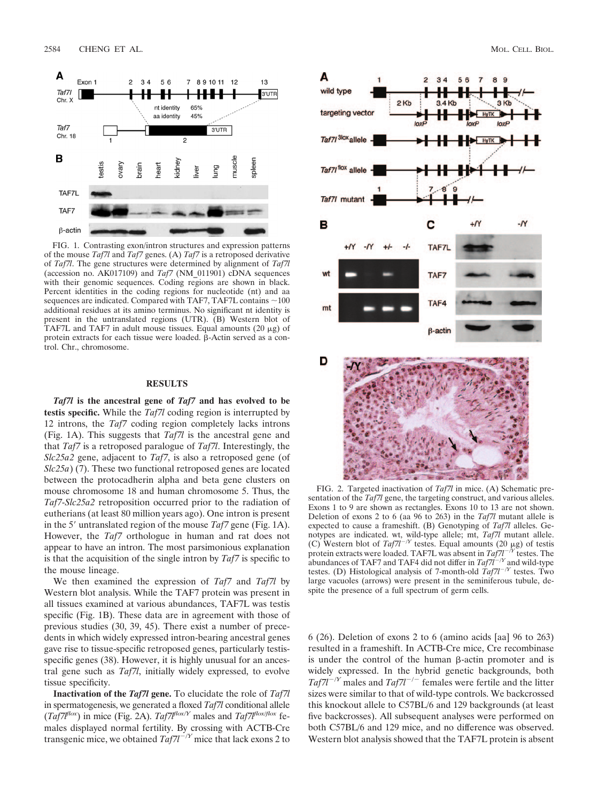

FIG. 1. Contrasting exon/intron structures and expression patterns of the mouse *Taf7l* and *Taf7* genes. (A) *Taf7* is a retroposed derivative of *Taf7l*. The gene structures were determined by alignment of *Taf7l* (accession no. AK017109) and *Taf7* (NM\_011901) cDNA sequences with their genomic sequences. Coding regions are shown in black. Percent identities in the coding regions for nucleotide (nt) and aa sequences are indicated. Compared with TAF7, TAF7L contains  $\sim$  100 additional residues at its amino terminus. No significant nt identity is present in the untranslated regions (UTR). (B) Western blot of TAF7L and TAF7 in adult mouse tissues. Equal amounts  $(20 \mu g)$  of protein extracts for each tissue were loaded.  $\beta$ -Actin served as a control. Chr., chromosome.

## **RESULTS**

*Taf7l* **is the ancestral gene of** *Taf7* **and has evolved to be testis specific.** While the *Taf7l* coding region is interrupted by 12 introns, the *Taf7* coding region completely lacks introns (Fig. 1A). This suggests that *Taf7l* is the ancestral gene and that *Taf7* is a retroposed paralogue of *Taf7l*. Interestingly, the *Slc25a2* gene, adjacent to *Taf7*, is also a retroposed gene (of *Slc25a*) (7). These two functional retroposed genes are located between the protocadherin alpha and beta gene clusters on mouse chromosome 18 and human chromosome 5. Thus, the *Taf7*-*Slc25a2* retroposition occurred prior to the radiation of eutherians (at least 80 million years ago). One intron is present in the 5' untranslated region of the mouse *Taf7* gene (Fig. 1A). However, the *Taf7* orthologue in human and rat does not appear to have an intron. The most parsimonious explanation is that the acquisition of the single intron by *Taf7* is specific to the mouse lineage.

We then examined the expression of *Taf7* and *Taf7l* by Western blot analysis. While the TAF7 protein was present in all tissues examined at various abundances, TAF7L was testis specific (Fig. 1B). These data are in agreement with those of previous studies (30, 39, 45). There exist a number of precedents in which widely expressed intron-bearing ancestral genes gave rise to tissue-specific retroposed genes, particularly testisspecific genes (38). However, it is highly unusual for an ancestral gene such as *Taf7l*, initially widely expressed, to evolve tissue specificity.

**Inactivation of the** *Taf7l* **gene.** To elucidate the role of *Taf7l* in spermatogenesis, we generated a floxed *Taf7l* conditional allele In spermatogenesis, we generate a new males and  $Taf7l^{flox/f}$  fe-<br> $(Taf7l^{flox/f})$  in mice (Fig. 2A).  $Taf7l^{flox/f}$  males and  $Taf7l^{flox/f}$ males displayed normal fertility. By crossing with ACTB-Cre transgenic mice, we obtained  $Taf7l^{-\gamma}$  mice that lack exons 2 to





FIG. 2. Targeted inactivation of *Taf7l* in mice. (A) Schematic presentation of the *Taf7l* gene, the targeting construct, and various alleles. Exons 1 to 9 are shown as rectangles. Exons 10 to 13 are not shown. Deletion of exons 2 to 6 (aa 96 to 263) in the *Taf7l* mutant allele is expected to cause a frameshift. (B) Genotyping of *Taf7l* alleles. Genotypes are indicated. wt, wild-type allele; mt, *Taf7l* mutant allele.<br>(C) Western blot of *Taf7l*<sup>-/*Y*</sup> testes. Equal amounts (20  $\mu$ g) of testis protein extracts were loaded. TAF7L was absent in  $Taf7l^{-\gamma}$  testes. The abundances of TAF7 and TAF4 did not differ in  $Taf7i^{-/Y}$  and wild-type testes. (D) Histological analysis of 7-month-old  $Taf7l^{-/Y}$  testes. Two large vacuoles (arrows) were present in the seminiferous tubule, despite the presence of a full spectrum of germ cells.

6 (26). Deletion of exons 2 to 6 (amino acids [aa] 96 to 263) resulted in a frameshift. In ACTB-Cre mice, Cre recombinase is under the control of the human  $\beta$ -actin promoter and is widely expressed. In the hybrid genetic backgrounds, both  $Taf7l^{-/Y}$  males and  $Taf7l^{-/-}$  females were fertile and the litter sizes were similar to that of wild-type controls. We backcrossed this knockout allele to C57BL/6 and 129 backgrounds (at least five backcrosses). All subsequent analyses were performed on both C57BL/6 and 129 mice, and no difference was observed. Western blot analysis showed that the TAF7L protein is absent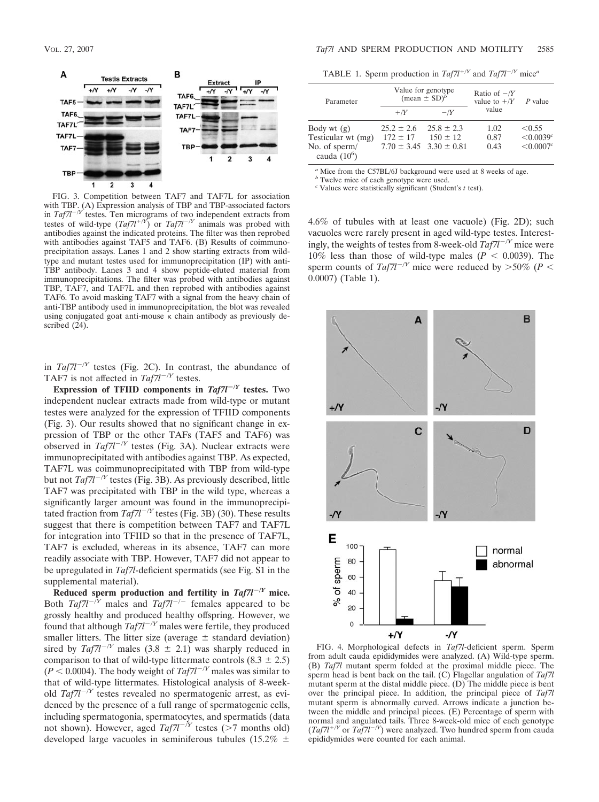

FIG. 3. Competition between TAF7 and TAF7L for association with TBP. (A) Expression analysis of TBP and TBP-associated factors in *Taf7l<sup>-/Y</sup>* testes. Ten micrograms of two independent extracts from testes of wild-type  $(Taf7l^{+/Y})$  or  $Taf7l^{-/Y}$  animals was probed with antibodies against the indicated proteins. The filter was then reprobed with antibodies against TAF5 and TAF6. (B) Results of coimmunoprecipitation assays. Lanes 1 and 2 show starting extracts from wildtype and mutant testes used for immunoprecipitation (IP) with anti-TBP antibody. Lanes 3 and 4 show peptide-eluted material from immunoprecipitations. The filter was probed with antibodies against TBP, TAF7, and TAF7L and then reprobed with antibodies against TAF6. To avoid masking TAF7 with a signal from the heavy chain of anti-TBP antibody used in immunoprecipitation, the blot was revealed using conjugated goat anti-mouse  $\kappa$  chain antibody as previously described (24).

in  $Taf7l^{-1}$ <sup>*Y*</sup> testes (Fig. 2C). In contrast, the abundance of TAF7 is not affected in  $Taf7l^{-/Y}$  testes.

**Expression of TFIID components in**  $Taf7l^{-1}$  **testes.** Two independent nuclear extracts made from wild-type or mutant testes were analyzed for the expression of TFIID components (Fig. 3). Our results showed that no significant change in expression of TBP or the other TAFs (TAF5 and TAF6) was observed in  $Taf7l^{-\prime}$  testes (Fig. 3A). Nuclear extracts were immunoprecipitated with antibodies against TBP. As expected, TAF7L was coimmunoprecipitated with TBP from wild-type but not *Taf7l<sup>-/Y</sup>* testes (Fig. 3B). As previously described, little TAF7 was precipitated with TBP in the wild type, whereas a significantly larger amount was found in the immunoprecipitated fraction from  $Taf7l^{-\prime}$ <sup>*Y*</sup> testes (Fig. 3B) (30). These results suggest that there is competition between TAF7 and TAF7L for integration into TFIID so that in the presence of TAF7L, TAF7 is excluded, whereas in its absence, TAF7 can more readily associate with TBP. However, TAF7 did not appear to be upregulated in *Taf7l*-deficient spermatids (see Fig. S1 in the supplemental material).

**Reduced sperm production and fertility in** *Taf7l***/***<sup>Y</sup>* **mice.** Both  $Taf7l^{-1}$ <sup>*Y*</sup> males and  $Taf7l^{-1}$ <sup>-</sup> females appeared to be grossly healthy and produced healthy offspring. However, we found that although  $Taf7l^{-\prime}$ <sup>*Y*</sup> males were fertile, they produced smaller litters. The litter size (average  $\pm$  standard deviation) sired by  $Taf7l^{-\gamma}$  males (3.8  $\pm$  2.1) was sharply reduced in comparison to that of wild-type littermate controls  $(8.3 \pm 2.5)$  $(P < 0.0004)$ . The body weight of  $Taf7l^{-\gamma}$  males was similar to that of wild-type littermates. Histological analysis of 8-weekold  $Taf7l^{-/Y}$  testes revealed no spermatogenic arrest, as evidenced by the presence of a full range of spermatogenic cells, including spermatogonia, spermatocytes, and spermatids (data not shown). However, aged  $Taf7l^{-\gamma}$  testes (>7 months old) developed large vacuoles in seminiferous tubules (15.2%  $\pm$ 

TABLE 1. Sperm production in  $Taf7l^{+/Y}$  and  $Taf7l^{-/Y}$  mice<sup>*a*</sup>

| Parameter                       |                               | Value for genotype<br>(mean $\pm$ SD) <sup>b</sup> | Ratio of $-Y$<br>value to $+/Y$ <i>P</i> value |                            |  |
|---------------------------------|-------------------------------|----------------------------------------------------|------------------------------------------------|----------------------------|--|
|                                 | $+/Y$                         | $-Y$                                               | value                                          |                            |  |
| Body wt $(g)$                   | $25.2 \pm 2.6$ $25.8 \pm 2.3$ |                                                    | 1.02                                           | < 0.55                     |  |
| Testicular wt (mg)              | $172 \pm 17$                  | $150 \pm 12$                                       | 0.87                                           | $< 0.0039$ <sup>c</sup>    |  |
| No. of sperm/<br>cauda $(10^6)$ |                               | $7.70 \pm 3.45$ $3.30 \pm 0.81$                    | 0.43                                           | $\leq 0.0007$ <sup>c</sup> |  |

*<sup>a</sup>* Mice from the C57BL/6J background were used at 8 weeks of age.

*b* Twelve mice of each genotype were used.

*<sup>c</sup>* Values were statistically significant (Student's *t* test).

4.6% of tubules with at least one vacuole) (Fig. 2D); such vacuoles were rarely present in aged wild-type testes. Interestingly, the weights of testes from 8-week-old  $Taf7l^{-\gamma}$  mice were 10% less than those of wild-type males  $(P < 0.0039)$ . The sperm counts of *Taf7l<sup>-/Y</sup>* mice were reduced by  $>50\%$  (*P* < 0.0007) (Table 1).



FIG. 4. Morphological defects in *Taf7l*-deficient sperm. Sperm from adult cauda epididymides were analyzed. (A) Wild-type sperm. (B) *Taf7l* mutant sperm folded at the proximal middle piece. The sperm head is bent back on the tail. (C) Flagellar angulation of *Taf7l* mutant sperm at the distal middle piece. (D) The middle piece is bent over the principal piece. In addition, the principal piece of *Taf7l* mutant sperm is abnormally curved. Arrows indicate a junction between the middle and principal pieces. (E) Percentage of sperm with normal and angulated tails. Three 8-week-old mice of each genotype  $(Taf7l^{+/Y})$  or  $Taf7l^{-/Y}$ ) were analyzed. Two hundred sperm from cauda epididymides were counted for each animal.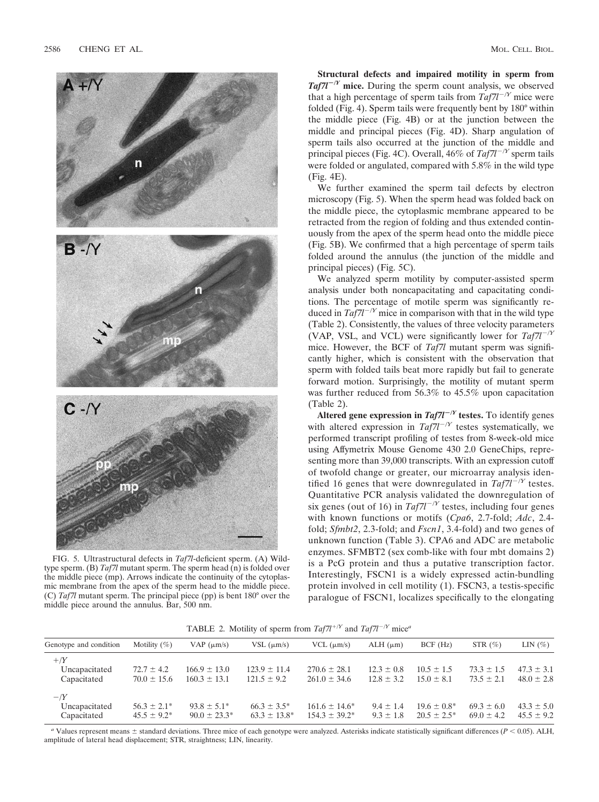

FIG. 5. Ultrastructural defects in *Taf7l*-deficient sperm. (A) Wildtype sperm. (B) *Taf7l* mutant sperm. The sperm head (n) is folded over the middle piece (mp). Arrows indicate the continuity of the cytoplasmic membrane from the apex of the sperm head to the middle piece. (C) *Taf7l* mutant sperm. The principal piece (pp) is bent 180° over the middle piece around the annulus. Bar, 500 nm.

**Structural defects and impaired motility in sperm from**  $Taf7l^{-1}$  mice. During the sperm count analysis, we observed that a high percentage of sperm tails from  $Taf7l^{-\gamma}$  mice were folded (Fig. 4). Sperm tails were frequently bent by 180° within the middle piece (Fig. 4B) or at the junction between the middle and principal pieces (Fig. 4D). Sharp angulation of sperm tails also occurred at the junction of the middle and principal pieces (Fig. 4C). Overall, 46% of  $Taf7l^{-/Y}$  sperm tails were folded or angulated, compared with 5.8% in the wild type (Fig. 4E).

We further examined the sperm tail defects by electron microscopy (Fig. 5). When the sperm head was folded back on the middle piece, the cytoplasmic membrane appeared to be retracted from the region of folding and thus extended continuously from the apex of the sperm head onto the middle piece (Fig. 5B). We confirmed that a high percentage of sperm tails folded around the annulus (the junction of the middle and principal pieces) (Fig. 5C).

We analyzed sperm motility by computer-assisted sperm analysis under both noncapacitating and capacitating conditions. The percentage of motile sperm was significantly reduced in  $Taf7l^{-1}$ <sup>*Y*</sup> mice in comparison with that in the wild type (Table 2). Consistently, the values of three velocity parameters (VAP, VSL, and VCL) were significantly lower for  $Taf7l^{-\gamma Y}$ mice. However, the BCF of *Taf7l* mutant sperm was significantly higher, which is consistent with the observation that sperm with folded tails beat more rapidly but fail to generate forward motion. Surprisingly, the motility of mutant sperm was further reduced from 56.3% to 45.5% upon capacitation (Table 2).

**Altered gene expression in**  $Taf7l^{-\gamma}$  **testes.** To identify genes with altered expression in  $Taf7l^{-/Y}$  testes systematically, we performed transcript profiling of testes from 8-week-old mice using Affymetrix Mouse Genome 430 2.0 GeneChips, representing more than 39,000 transcripts. With an expression cutoff of twofold change or greater, our microarray analysis identified 16 genes that were downregulated in  $Taf7l^{-\gamma}$  testes. Quantitative PCR analysis validated the downregulation of six genes (out of 16) in  $Taf7l^{-\gamma}$  testes, including four genes with known functions or motifs (*Cpa6*, 2.7-fold; *Adc*, 2.4 fold; *Sfmbt2*, 2.3-fold; and *Fscn1*, 3.4-fold) and two genes of unknown function (Table 3). CPA6 and ADC are metabolic enzymes. SFMBT2 (sex comb-like with four mbt domains 2) is a PcG protein and thus a putative transcription factor. Interestingly, FSCN1 is a widely expressed actin-bundling protein involved in cell motility (1). FSCN3, a testis-specific paralogue of FSCN1, localizes specifically to the elongating

**TABLE 2.** Motility of sperm from  $Taf7l^{+/Y}$  and  $Taf7l^{-/Y}$  mice<sup>*a*</sup>

| Genotype and condition                 | Motility $(\%)$                      | VAP $(\mu m/s)$                       | VSL $(\mu m/s)$                       | $VCL$ ( $\mu$ m/s)                       | $ALH$ ( $\mu$ m)                 | BCF(Hz)                            | STR $(\%)$                       | LIN $(\%)$                       |
|----------------------------------------|--------------------------------------|---------------------------------------|---------------------------------------|------------------------------------------|----------------------------------|------------------------------------|----------------------------------|----------------------------------|
| $+$ /Y<br>Uncapacitated<br>Capacitated | $72.7 \pm 4.2$<br>$70.0 \pm 15.6$    | $166.9 \pm 13.0$<br>$160.3 \pm 13.1$  | $123.9 \pm 11.4$<br>$121.5 \pm 9.2$   | $270.6 \pm 28.1$<br>$261.0 \pm 34.6$     | $12.3 \pm 0.8$<br>$12.8 \pm 3.2$ | $10.5 \pm 1.5$<br>$15.0 \pm 8.1$   | $73.3 \pm 1.5$<br>$73.5 \pm 2.1$ | $47.3 \pm 3.1$<br>$48.0 \pm 2.8$ |
| $-Y$<br>Uncapacitated<br>Capacitated   | $56.3 \pm 2.1^*$<br>$45.5 \pm 9.2^*$ | $93.8 \pm 5.1^*$<br>$90.0 \pm 23.3^*$ | $66.3 \pm 3.5^*$<br>$63.3 \pm 13.8^*$ | $161.6 \pm 14.6^*$<br>$154.3 \pm 39.2^*$ | $9.4 \pm 1.4$<br>$9.3 \pm 1.8$   | $19.6 \pm 0.8^*$<br>$20.5 + 2.5^*$ | $69.3 \pm 6.0$<br>$69.0 \pm 4.2$ | $43.3 \pm 5.0$<br>$45.5 \pm 9.2$ |

*a* Values represent means  $\pm$  standard deviations. Three mice of each genotype were analyzed. Asterisks indicate statistically significant differences ( $P$  < 0.05). ALH, amplitude of lateral head displacement; STR, straightness; LIN, linearity.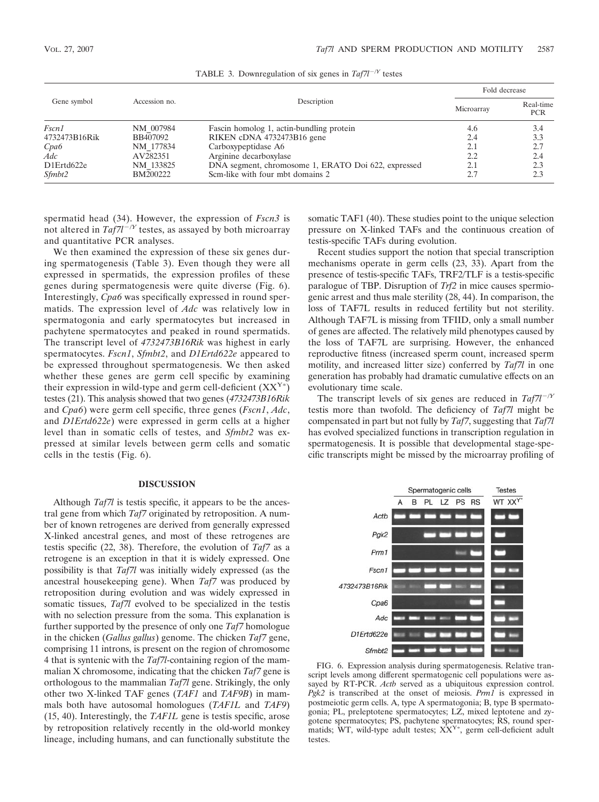| Gene symbol   |               |                                                     | Fold decrease |                         |
|---------------|---------------|-----------------------------------------------------|---------------|-------------------------|
|               | Accession no. | Description                                         | Microarray    | Real-time<br><b>PCR</b> |
| Fscn1         | NM 007984     | Fascin homolog 1, actin-bundling protein            | 4.6           | 3.4                     |
| 4732473B16Rik | BB407092      | RIKEN cDNA 4732473B16 gene                          | 2.4           | 3.3                     |
| Cpa6          | NM 177834     | Carboxypeptidase A6                                 | 2.1           | 2.7                     |
| Adc           | AV282351      | Arginine decarboxylase                              | 2.2           | 2.4                     |
| D1Ertd622e    | NM 133825     | DNA segment, chromosome 1, ERATO Doi 622, expressed | 2.1           | 2.3                     |
| Sfmbt2        | BM200222      | Scm-like with four mbt domains 2                    | 2.7           | 2.3                     |

TABLE 3. Downregulation of six genes in *Taf7l/Y* testes

spermatid head (34). However, the expression of *Fscn3* is not altered in  $Taf7l^{-\gamma}$  testes, as assayed by both microarray and quantitative PCR analyses.

We then examined the expression of these six genes during spermatogenesis (Table 3). Even though they were all expressed in spermatids, the expression profiles of these genes during spermatogenesis were quite diverse (Fig. 6). Interestingly, *Cpa6* was specifically expressed in round spermatids. The expression level of *Adc* was relatively low in spermatogonia and early spermatocytes but increased in pachytene spermatocytes and peaked in round spermatids. The transcript level of *4732473B16Rik* was highest in early spermatocytes. *Fscn1*, *Sfmbt2*, and *D1Ertd622e* appeared to be expressed throughout spermatogenesis. We then asked whether these genes are germ cell specific by examining their expression in wild-type and germ cell-deficient  $(XX^{Y*})$ testes (21). This analysis showed that two genes (*4732473B16Rik* and *Cpa6*) were germ cell specific, three genes (*Fscn1*, *Adc*, and *D1Ertd622e*) were expressed in germ cells at a higher level than in somatic cells of testes, and *Sfmbt2* was expressed at similar levels between germ cells and somatic cells in the testis (Fig. 6).

## **DISCUSSION**

Although *Taf7l* is testis specific, it appears to be the ancestral gene from which *Taf7* originated by retroposition. A number of known retrogenes are derived from generally expressed X-linked ancestral genes, and most of these retrogenes are testis specific (22, 38). Therefore, the evolution of *Taf7* as a retrogene is an exception in that it is widely expressed. One possibility is that *Taf7l* was initially widely expressed (as the ancestral housekeeping gene). When *Taf7* was produced by retroposition during evolution and was widely expressed in somatic tissues, *Taf7l* evolved to be specialized in the testis with no selection pressure from the soma. This explanation is further supported by the presence of only one *Taf7* homologue in the chicken (*Gallus gallus*) genome. The chicken *Taf7* gene, comprising 11 introns, is present on the region of chromosome 4 that is syntenic with the *Taf7l*-containing region of the mammalian X chromosome, indicating that the chicken *Taf7* gene is orthologous to the mammalian *Taf7l* gene. Strikingly, the only other two X-linked TAF genes (*TAF1* and *TAF9B*) in mammals both have autosomal homologues (*TAF1L* and *TAF9*) (15, 40). Interestingly, the *TAF1L* gene is testis specific, arose by retroposition relatively recently in the old-world monkey lineage, including humans, and can functionally substitute the

somatic TAF1 (40). These studies point to the unique selection pressure on X-linked TAFs and the continuous creation of testis-specific TAFs during evolution.

Recent studies support the notion that special transcription mechanisms operate in germ cells (23, 33). Apart from the presence of testis-specific TAFs, TRF2/TLF is a testis-specific paralogue of TBP. Disruption of *Trf2* in mice causes spermiogenic arrest and thus male sterility (28, 44). In comparison, the loss of TAF7L results in reduced fertility but not sterility. Although TAF7L is missing from TFIID, only a small number of genes are affected. The relatively mild phenotypes caused by the loss of TAF7L are surprising. However, the enhanced reproductive fitness (increased sperm count, increased sperm motility, and increased litter size) conferred by *Taf7l* in one generation has probably had dramatic cumulative effects on an evolutionary time scale.

The transcript levels of six genes are reduced in  $Taf7l^{-1}$ *Y* testis more than twofold. The deficiency of *Taf7l* might be compensated in part but not fully by *Taf7*, suggesting that *Taf7l* has evolved specialized functions in transcription regulation in spermatogenesis. It is possible that developmental stage-specific transcripts might be missed by the microarray profiling of



FIG. 6. Expression analysis during spermatogenesis. Relative transcript levels among different spermatogenic cell populations were assayed by RT-PCR. *Actb* served as a ubiquitous expression control. *Pgk2* is transcribed at the onset of meiosis. *Prm1* is expressed in postmeiotic germ cells. A, type A spermatogonia; B, type B spermatogonia; PL, preleptotene spermatocytes; LZ, mixed leptotene and zygotene spermatocytes; PS, pachytene spermatocytes; RS, round spermatids; WT, wild-type adult testes; XX<sup>Y\*</sup>, germ cell-deficient adult testes.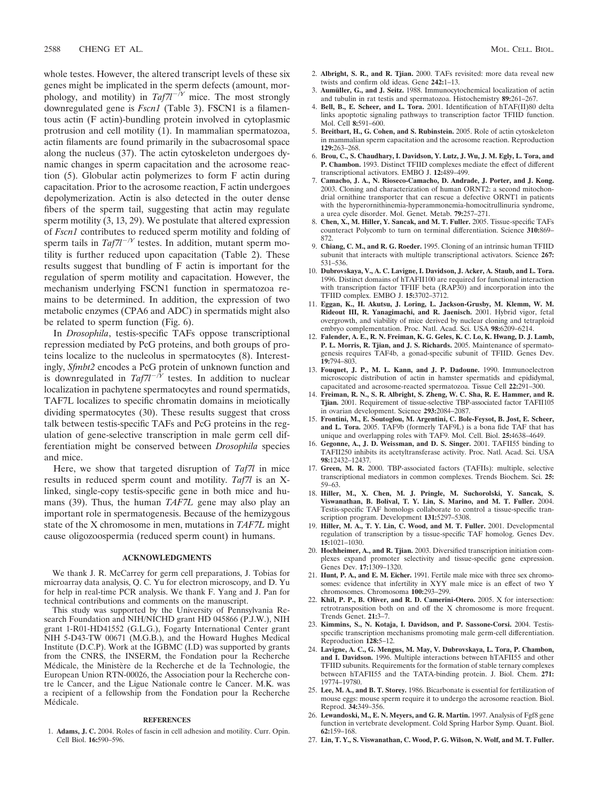whole testes. However, the altered transcript levels of these six genes might be implicated in the sperm defects (amount, morphology, and motility) in  $Taf7l^{-\gamma}$  mice. The most strongly downregulated gene is *Fscn1* (Table 3). FSCN1 is a filamentous actin (F actin)-bundling protein involved in cytoplasmic protrusion and cell motility (1). In mammalian spermatozoa, actin filaments are found primarily in the subacrosomal space along the nucleus (37). The actin cytoskeleton undergoes dynamic changes in sperm capacitation and the acrosome reaction (5). Globular actin polymerizes to form F actin during capacitation. Prior to the acrosome reaction, F actin undergoes depolymerization. Actin is also detected in the outer dense fibers of the sperm tail, suggesting that actin may regulate sperm motility (3, 13, 29). We postulate that altered expression of *Fscn1* contributes to reduced sperm motility and folding of sperm tails in  $Taf7l^{-\gamma}$  testes. In addition, mutant sperm motility is further reduced upon capacitation (Table 2). These results suggest that bundling of F actin is important for the regulation of sperm motility and capacitation. However, the mechanism underlying FSCN1 function in spermatozoa remains to be determined. In addition, the expression of two metabolic enzymes (CPA6 and ADC) in spermatids might also be related to sperm function (Fig. 6).

In *Drosophila*, testis-specific TAFs oppose transcriptional repression mediated by PcG proteins, and both groups of proteins localize to the nucleolus in spermatocytes (8). Interestingly, *Sfmbt2* encodes a PcG protein of unknown function and is downregulated in  $Taf7l^{-\hat{N}}$  testes. In addition to nuclear localization in pachytene spermatocytes and round spermatids, TAF7L localizes to specific chromatin domains in meiotically dividing spermatocytes (30). These results suggest that cross talk between testis-specific TAFs and PcG proteins in the regulation of gene-selective transcription in male germ cell differentiation might be conserved between *Drosophila* species and mice.

Here, we show that targeted disruption of *Taf7l* in mice results in reduced sperm count and motility. *Taf7l* is an Xlinked, single-copy testis-specific gene in both mice and humans (39). Thus, the human *TAF7L* gene may also play an important role in spermatogenesis. Because of the hemizygous state of the X chromosome in men, mutations in *TAF7L* might cause oligozoospermia (reduced sperm count) in humans.

#### **ACKNOWLEDGMENTS**

We thank J. R. McCarrey for germ cell preparations, J. Tobias for microarray data analysis, Q. C. Yu for electron microscopy, and D. Yu for help in real-time PCR analysis. We thank F. Yang and J. Pan for technical contributions and comments on the manuscript.

This study was supported by the University of Pennsylvania Research Foundation and NIH/NICHD grant HD 045866 (P.J.W.), NIH grant 1-R01-HD41552 (G.L.G.), Fogarty International Center grant NIH 5-D43-TW 00671 (M.G.B.), and the Howard Hughes Medical Institute (D.C.P). Work at the IGBMC (I.D) was supported by grants from the CNRS, the INSERM, the Fondation pour la Recherche Médicale, the Ministère de la Recherche et de la Technologie, the European Union RTN-00026, the Association pour la Recherche contre le Cancer, and the Ligue Nationale contre le Cancer. M.K. was a recipient of a fellowship from the Fondation pour la Recherche Médicale.

### **REFERENCES**

1. **Adams, J. C.** 2004. Roles of fascin in cell adhesion and motility. Curr. Opin. Cell Biol. **16:**590–596.

- 3. **Aumüller, G., and J. Seitz.** 1988. Immunocytochemical localization of actin and tubulin in rat testis and spermatozoa. Histochemistry **89:**261–267.
- 4. **Bell, B., E. Scheer, and L. Tora.** 2001. Identification of hTAF(II)80 delta links apoptotic signaling pathways to transcription factor TFIID function. Mol. Cell **8:**591–600.
- 5. **Breitbart, H., G. Cohen, and S. Rubinstein.** 2005. Role of actin cytoskeleton in mammalian sperm capacitation and the acrosome reaction. Reproduction **129:**263–268.
- 6. **Brou, C., S. Chaudhary, I. Davidson, Y. Lutz, J. Wu, J. M. Egly, L. Tora, and P. Chambon.** 1993. Distinct TFIID complexes mediate the effect of different transcriptional activators. EMBO J. **12:**489–499.
- 7. **Camacho, J. A., N. Rioseco-Camacho, D. Andrade, J. Porter, and J. Kong.** 2003. Cloning and characterization of human ORNT2: a second mitochondrial ornithine transporter that can rescue a defective ORNT1 in patients with the hyperornithinemia-hyperammonemia-homocitrullinuria syndrome, a urea cycle disorder. Mol. Genet. Metab. **79:**257–271.
- 8. **Chen, X., M. Hiller, Y. Sancak, and M. T. Fuller.** 2005. Tissue-specific TAFs counteract Polycomb to turn on terminal differentiation. Science **310:**869– 872.
- 9. **Chiang, C. M., and R. G. Roeder.** 1995. Cloning of an intrinsic human TFIID subunit that interacts with multiple transcriptional activators. Science **267:** 531–536.
- 10. **Dubrovskaya, V., A. C. Lavigne, I. Davidson, J. Acker, A. Staub, and L. Tora.** 1996. Distinct domains of hTAFII100 are required for functional interaction with transcription factor TFIIF beta (RAP30) and incorporation into the TFIID complex. EMBO J. **15:**3702–3712.
- 11. **Eggan, K., H. Akutsu, J. Loring, L. Jackson-Grusby, M. Klemm, W. M. Rideout III, R. Yanagimachi, and R. Jaenisch.** 2001. Hybrid vigor, fetal overgrowth, and viability of mice derived by nuclear cloning and tetraploid embryo complementation. Proc. Natl. Acad. Sci. USA **98:**6209–6214.
- 12. **Falender, A. E., R. N. Freiman, K. G. Geles, K. C. Lo, K. Hwang, D. J. Lamb, P. L. Morris, R. Tjian, and J. S. Richards.** 2005. Maintenance of spermatogenesis requires TAF4b, a gonad-specific subunit of TFIID. Genes Dev. **19:**794–803.
- 13. **Fouquet, J. P., M. L. Kann, and J. P. Dadoune.** 1990. Immunoelectron microscopic distribution of actin in hamster spermatids and epididymal, capacitated and acrosome-reacted spermatozoa. Tissue Cell **22:**291–300.
- 14. **Freiman, R. N., S. R. Albright, S. Zheng, W. C. Sha, R. E. Hammer, and R. Tjian.** 2001. Requirement of tissue-selective TBP-associated factor TAFII105 in ovarian development. Science **293:**2084–2087.
- 15. **Frontini, M., E. Soutoglou, M. Argentini, C. Bole-Feysot, B. Jost, E. Scheer, and L. Tora.** 2005. TAF9b (formerly TAF9L) is a bona fide TAF that has unique and overlapping roles with TAF9. Mol. Cell. Biol. **25:**4638–4649.
- 16. **Gegonne, A., J. D. Weissman, and D. S. Singer.** 2001. TAFII55 binding to TAFII250 inhibits its acetyltransferase activity. Proc. Natl. Acad. Sci. USA **98:**12432–12437.
- 17. **Green, M. R.** 2000. TBP-associated factors (TAFIIs): multiple, selective transcriptional mediators in common complexes. Trends Biochem. Sci. **25:** 59–63.
- 18. **Hiller, M., X. Chen, M. J. Pringle, M. Suchorolski, Y. Sancak, S. Viswanathan, B. Bolival, T. Y. Lin, S. Marino, and M. T. Fuller.** 2004. Testis-specific TAF homologs collaborate to control a tissue-specific transcription program. Development **131:**5297–5308.
- 19. **Hiller, M. A., T. Y. Lin, C. Wood, and M. T. Fuller.** 2001. Developmental regulation of transcription by a tissue-specific TAF homolog. Genes Dev. **15:**1021–1030.
- 20. **Hochheimer, A., and R. Tjian.** 2003. Diversified transcription initiation complexes expand promoter selectivity and tissue-specific gene expression. Genes Dev. **17:**1309–1320.
- 21. **Hunt, P. A., and E. M. Eicher.** 1991. Fertile male mice with three sex chromosomes: evidence that infertility in XYY male mice is an effect of two Y chromosomes. Chromosoma **100:**293–299.
- 22. **Khil, P. P., B. Oliver, and R. D. Camerini-Otero.** 2005. X for intersection: retrotransposition both on and off the X chromosome is more frequent. Trends Genet. **21:**3–7.
- 23. **Kimmins, S., N. Kotaja, I. Davidson, and P. Sassone-Corsi.** 2004. Testisspecific transcription mechanisms promoting male germ-cell differentiation. Reproduction **128:**5–12.
- 24. **Lavigne, A. C., G. Mengus, M. May, V. Dubrovskaya, L. Tora, P. Chambon, and I. Davidson.** 1996. Multiple interactions between hTAFII55 and other TFIID subunits. Requirements for the formation of stable ternary complexes between hTAFII55 and the TATA-binding protein. J. Biol. Chem. **271:** 19774–19780.
- 25. **Lee, M. A., and B. T. Storey.** 1986. Bicarbonate is essential for fertilization of mouse eggs: mouse sperm require it to undergo the acrosome reaction. Biol. Reprod. **34:**349–356.
- 26. **Lewandoski, M., E. N. Meyers, and G. R. Martin.** 1997. Analysis of Fgf8 gene function in vertebrate development. Cold Spring Harbor Symp. Quant. Biol. **62:**159–168.
- 27. **Lin, T. Y., S. Viswanathan, C. Wood, P. G. Wilson, N. Wolf, and M. T. Fuller.**